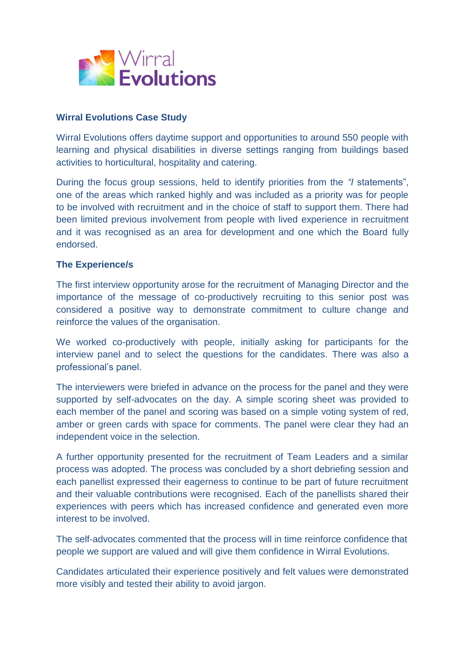

## **Wirral Evolutions Case Study**

Wirral Evolutions offers daytime support and opportunities to around 550 people with learning and physical disabilities in diverse settings ranging from buildings based activities to horticultural, hospitality and catering.

During the focus group sessions, held to identify priorities from the *"I* statements", one of the areas which ranked highly and was included as a priority was for people to be involved with recruitment and in the choice of staff to support them. There had been limited previous involvement from people with lived experience in recruitment and it was recognised as an area for development and one which the Board fully endorsed.

## **The Experience/s**

The first interview opportunity arose for the recruitment of Managing Director and the importance of the message of co-productively recruiting to this senior post was considered a positive way to demonstrate commitment to culture change and reinforce the values of the organisation.

We worked co-productively with people, initially asking for participants for the interview panel and to select the questions for the candidates. There was also a professional's panel.

The interviewers were briefed in advance on the process for the panel and they were supported by self-advocates on the day. A simple scoring sheet was provided to each member of the panel and scoring was based on a simple voting system of red, amber or green cards with space for comments. The panel were clear they had an independent voice in the selection.

A further opportunity presented for the recruitment of Team Leaders and a similar process was adopted. The process was concluded by a short debriefing session and each panellist expressed their eagerness to continue to be part of future recruitment and their valuable contributions were recognised. Each of the panellists shared their experiences with peers which has increased confidence and generated even more interest to be involved.

The self-advocates commented that the process will in time reinforce confidence that people we support are valued and will give them confidence in Wirral Evolutions.

Candidates articulated their experience positively and felt values were demonstrated more visibly and tested their ability to avoid jargon.